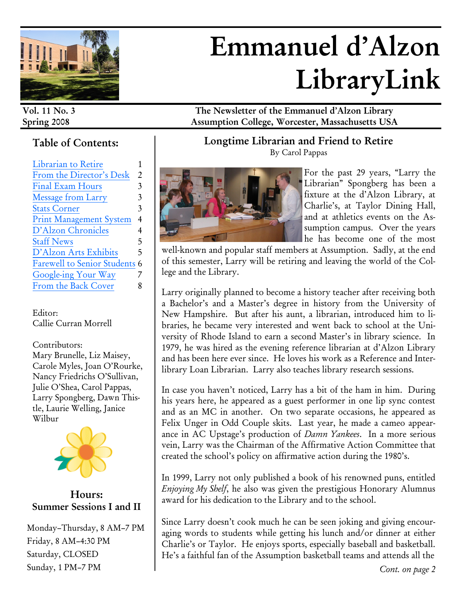

# **Emmanuel d'Alzon LibraryLink**

# **Table of Contents:**

| Librarian to Retire                |   |
|------------------------------------|---|
| From the Director's Desk           | 2 |
| <b>Final Exam Hours</b>            | 3 |
| <b>Message from Larry</b>          | 3 |
| <b>Stats Corner</b>                | 3 |
| <b>Print Management System</b>     | 4 |
| D'Alzon Chronicles                 | 4 |
| <b>Staff News</b>                  | 5 |
| D'Alzon Arts Exhibits              | 5 |
| <b>Farewell to Senior Students</b> | 6 |
| Google-ing Your Way                |   |
| From the Back Cover                |   |

Editor: Callie Curran Morrell

Contributors: Mary Brunelle, Liz Maisey, Carole Myles, Joan O'Rourke, Nancy Friedrichs O'Sullivan, Julie O'Shea, Carol Pappas, Larry Spongberg, Dawn Thistle, Laurie Welling, Janice Wilbur



**Hours: Summer Sessions I and II**

Monday–Thursday, 8 AM–7 PM Friday, 8 AM–4:30 PM Saturday, CLOSED Sunday, 1 PM–7 PM

**Vol. 11 No. 3 The Newsletter of the Emmanuel d'Alzon Library Spring 2008 Assumption College, Worcester, Massachusetts USA**

> **Longtime Librarian and Friend to Retire**  By Carol Pappas



For the past 29 years, "Larry the Librarian" Spongberg has been a fixture at the d'Alzon Library, at Charlie's, at Taylor Dining Hall, and at athletics events on the Assumption campus. Over the years he has become one of the most

well-known and popular staff members at Assumption. Sadly, at the end of this semester, Larry will be retiring and leaving the world of the College and the Library.

Larry originally planned to become a history teacher after receiving both a Bachelor's and a Master's degree in history from the University of New Hampshire. But after his aunt, a librarian, introduced him to libraries, he became very interested and went back to school at the University of Rhode Island to earn a second Master's in library science. In 1979, he was hired as the evening reference librarian at d'Alzon Library and has been here ever since. He loves his work as a Reference and Interlibrary Loan Librarian. Larry also teaches library research sessions.

In case you haven't noticed, Larry has a bit of the ham in him. During his years here, he appeared as a guest performer in one lip sync contest and as an MC in another. On two separate occasions, he appeared as Felix Unger in Odd Couple skits. Last year, he made a cameo appearance in AC Upstage's production of *Damn Yankees*. In a more serious vein, Larry was the Chairman of the Affirmative Action Committee that created the school's policy on affirmative action during the 1980's.

In 1999, Larry not only published a book of his renowned puns, entitled *Enjoying My Shelf*, he also was given the prestigious Honorary Alumnus award for his dedication to the Library and to the school.

Since Larry doesn't cook much he can be seen joking and giving encouraging words to students while getting his lunch and/or dinner at either Charlie's or Taylor. He enjoys sports, especially baseball and basketball. He's a faithful fan of the Assumption basketball teams and attends all the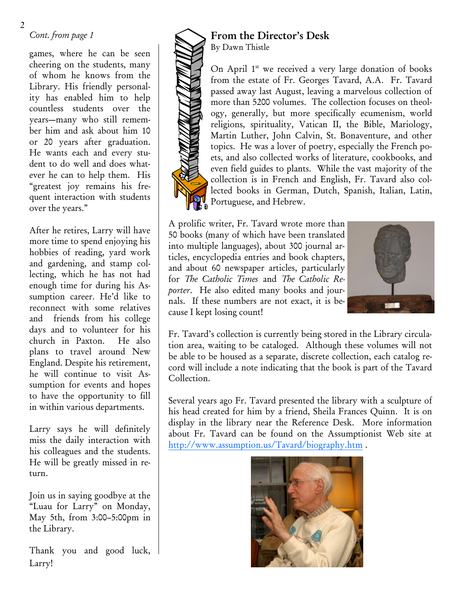# *Cont. from page 1*

games, where he can be seen cheering on the students, many of whom he knows from the Library. His friendly personality has enabled him to help countless students over the years—many who still remember him and ask about him 10 or 20 years after graduation. He wants each and every student to do well and does whatever he can to help them. His "greatest joy remains his frequent interaction with students over the years."

After he retires, Larry will have more time to spend enjoying his hobbies of reading, yard work and gardening, and stamp collecting, which he has not had enough time for during his Assumption career. He'd like to reconnect with some relatives and friends from his college days and to volunteer for his church in Paxton. He also plans to travel around New England. Despite his retirement, he will continue to visit Assumption for events and hopes to have the opportunity to fill in within various departments.

Larry says he will definitely miss the daily interaction with his colleagues and the students. He will be greatly missed in return.

Join us in saying goodbye at the "Luau for Larry" on Monday, May 5th, from 3:00–5:00pm in the Library.

Thank you and good luck, Larry!



On April  $1<sup>st</sup>$  we received a very large donation of books from the estate of Fr. Georges Tavard, A.A. Fr. Tavard passed away last August, leaving a marvelous collection of more than 5200 volumes. The collection focuses on theology, generally, but more specifically ecumenism, world religions, spirituality, Vatican II, the Bible, Mariology, Martin Luther, John Calvin, St. Bonaventure, and other topics. He was a lover of poetry, especially the French poets, and also collected works of literature, cookbooks, and even field guides to plants. While the vast majority of the collection is in French and English, Fr. Tavard also collected books in German, Dutch, Spanish, Italian, Latin, Portuguese, and Hebrew.

A prolific writer, Fr. Tavard wrote more than 50 books (many of which have been translated into multiple languages), about 300 journal articles, encyclopedia entries and book chapters, and about 60 newspaper articles, particularly for *The Catholic Times* and *The Catholic Reporter*. He also edited many books and journals. If these numbers are not exact, it is because I kept losing count!



Fr. Tavard's collection is currently being stored in the Library circulation area, waiting to be cataloged. Although these volumes will not be able to be housed as a separate, discrete collection, each catalog record will include a note indicating that the book is part of the Tavard Collection.

Several years ago Fr. Tavard presented the library with a sculpture of his head created for him by a friend, Sheila Frances Quinn. It is on display in the library near the Reference Desk. More information about Fr. Tavard can be found on the Assumptionist Web site at <http://www.assumption.us/Tavard/biography.htm> .

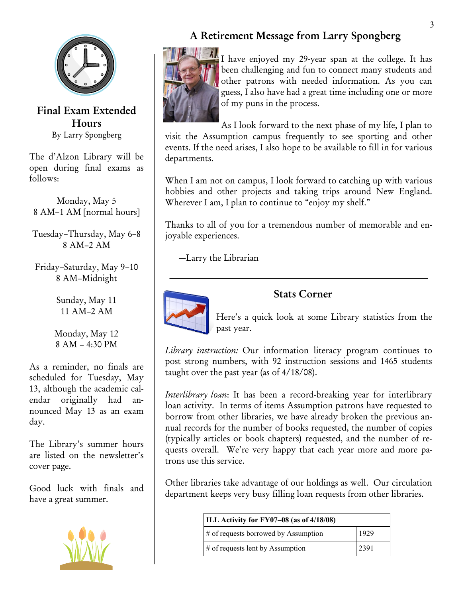

**Final Exam Extended Hours** By Larry Spongberg

The d'Alzon Library will be open during final exams as follows:

Monday, May 5 8 AM–1 AM [normal hours]

Tuesday–Thursday, May 6–8 8 AM–2 AM

Friday–Saturday, May 9–10 8 AM–Midnight

> Sunday, May 11 11 AM–2 AM

Monday, May 12 8 AM – 4:30 PM

As a reminder, no finals are scheduled for Tuesday, May 13, although the academic calendar originally had announced May 13 as an exam day.

The Library's summer hours are listed on the newsletter's cover page.

Good luck with finals and have a great summer.



# **A Retirement Message from Larry Spongberg**



I have enjoyed my 29-year span at the college. It has been challenging and fun to connect many students and other patrons with needed information. As you can guess, I also have had a great time including one or more of my puns in the process.

As I look forward to the next phase of my life, I plan to visit the Assumption campus frequently to see sporting and other events. If the need arises, I also hope to be available to fill in for various departments.

When I am not on campus, I look forward to catching up with various hobbies and other projects and taking trips around New England. Wherever I am, I plan to continue to "enjoy my shelf."

Thanks to all of you for a tremendous number of memorable and enjoyable experiences.

—Larry the Librarian



## **Stats Corner**

Here's a quick look at some Library statistics from the past year.

*Library instruction:* Our information literacy program continues to post strong numbers, with 92 instruction sessions and 1465 students taught over the past year (as of 4/18/08).

*Interlibrary loan*: It has been a record-breaking year for interlibrary loan activity. In terms of items Assumption patrons have requested to borrow from other libraries, we have already broken the previous annual records for the number of books requested, the number of copies (typically articles or book chapters) requested, and the number of requests overall. We're very happy that each year more and more patrons use this service.

Other libraries take advantage of our holdings as well. Our circulation department keeps very busy filling loan requests from other libraries.

| ILL Activity for FY07-08 (as of 4/18/08) |      |
|------------------------------------------|------|
| $\#$ of requests borrowed by Assumption  | 1929 |
| $\#$ of requests lent by Assumption      | 2391 |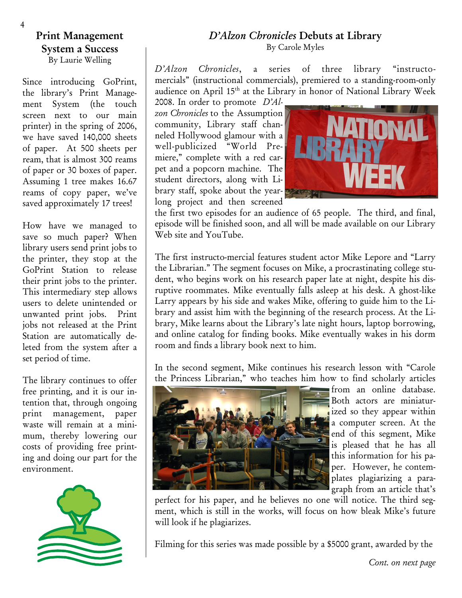#### **Print Management System a Success** By Laurie Welling

Since introducing GoPrint, the library's Print Management System (the touch screen next to our main printer) in the spring of 2006, we have saved 140,000 sheets of paper. At 500 sheets per ream, that is almost 300 reams of paper or 30 boxes of paper. Assuming 1 tree makes 16.67 reams of copy paper, we've saved approximately 17 trees!

How have we managed to save so much paper? When library users send print jobs to the printer, they stop at the GoPrint Station to release their print jobs to the printer. This intermediary step allows users to delete unintended or unwanted print jobs. Print jobs not released at the Print Station are automatically deleted from the system after a set period of time.

The library continues to offer free printing, and it is our intention that, through ongoing print management, paper waste will remain at a minimum, thereby lowering our costs of providing free printing and doing our part for the environment.



#### *D'Alzon Chronicles* **Debuts at Library** By Carole Myles

*D'Alzon Chronicles*, a series of three library "instructomercials" (instructional commercials), premiered to a standing-room-only audience on April 15<sup>th</sup> at the Library in honor of National Library Week 2008. In order to promote *D'Al-*

*zon Chronicles* to the Assumption community, Library staff channeled Hollywood glamour with a well-publicized "World Premiere," complete with a red carpet and a popcorn machine. The student directors, along with Library staff, spoke about the yearlong project and then screened



the first two episodes for an audience of 65 people. The third, and final, episode will be finished soon, and all will be made available on our Library Web site and YouTube.

The first instructo-mercial features student actor Mike Lepore and "Larry the Librarian." The segment focuses on Mike, a procrastinating college student, who begins work on his research paper late at night, despite his disruptive roommates. Mike eventually falls asleep at his desk. A ghost-like Larry appears by his side and wakes Mike, offering to guide him to the Library and assist him with the beginning of the research process. At the Library, Mike learns about the Library's late night hours, laptop borrowing, and online catalog for finding books. Mike eventually wakes in his dorm room and finds a library book next to him.

In the second segment, Mike continues his research lesson with "Carole the Princess Librarian," who teaches him how to find scholarly articles



from an online database. Both actors are miniaturized so they appear within a computer screen. At the end of this segment, Mike is pleased that he has all this information for his paper. However, he contemplates plagiarizing a paragraph from an article that's

perfect for his paper, and he believes no one will notice. The third segment, which is still in the works, will focus on how bleak Mike's future will look if he plagiarizes.

Filming for this series was made possible by a \$5000 grant, awarded by the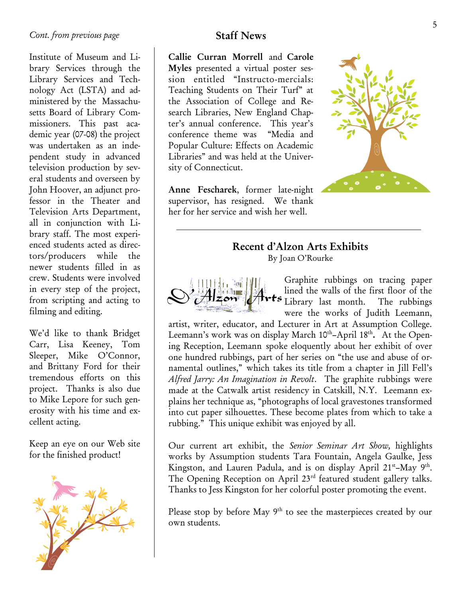Institute of Museum and Library Services through the Library Services and Technology Act (LSTA) and administered by the Massachusetts Board of Library Commissioners. This past academic year (07-08) the project was undertaken as an independent study in advanced television production by several students and overseen by John Hoover, an adjunct professor in the Theater and Television Arts Department, all in conjunction with Library staff. The most experienced students acted as directors/producers while the newer students filled in as crew. Students were involved in every step of the project, from scripting and acting to filming and editing.

We'd like to thank Bridget Carr, Lisa Keeney, Tom Sleeper, Mike O'Connor, and Brittany Ford for their tremendous efforts on this project. Thanks is also due to Mike Lepore for such generosity with his time and excellent acting.

Keep an eye on our Web site for the finished product!



# **Staff News**

**Callie Curran Morrell** and **Carole Myles** presented a virtual poster session entitled "Instructo-mercials: Teaching Students on Their Turf" at the Association of College and Research Libraries, New England Chapter's annual conference. This year's conference theme was "Media and Popular Culture: Effects on Academic Libraries" and was held at the University of Connecticut.

**Anne Fescharek**, former late-night supervisor, has resigned. We thank her for her service and wish her well.



# **Recent d'Alzon Arts Exhibits**

By Joan O'Rourke



Graphite rubbings on tracing paper lined the walls of the first floor of the **Example 15** Library last month. The rubbings were the works of Judith Leemann,

artist, writer, educator, and Lecturer in Art at Assumption College. Leemann's work was on display March 10<sup>th</sup>–April 18<sup>th</sup>. At the Opening Reception, Leemann spoke eloquently about her exhibit of over one hundred rubbings, part of her series on "the use and abuse of ornamental outlines," which takes its title from a chapter in Jill Fell's *Alfred Jarry: An Imagination in Revolt*. The graphite rubbings were made at the Catwalk artist residency in Catskill, N.Y. Leemann explains her technique as, "photographs of local gravestones transformed into cut paper silhouettes. These become plates from which to take a rubbing." This unique exhibit was enjoyed by all.

Our current art exhibit, the *Senior Seminar Art Show,* highlights works by Assumption students Tara Fountain, Angela Gaulke, Jess Kingston, and Lauren Padula, and is on display April 21<sup>st</sup>-May 9<sup>th</sup>. The Opening Reception on April 23rd featured student gallery talks. Thanks to Jess Kingston for her colorful poster promoting the event.

Please stop by before May 9<sup>th</sup> to see the masterpieces created by our own students.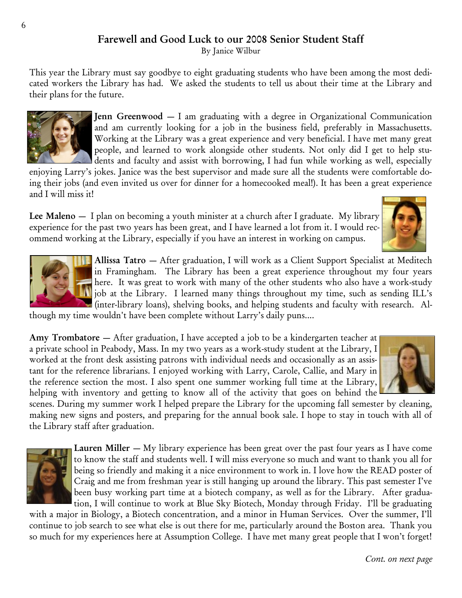# **Farewell and Good Luck to our 2008 Senior Student Staff**

By Janice Wilbur

This year the Library must say goodbye to eight graduating students who have been among the most dedicated workers the Library has had. We asked the students to tell us about their time at the Library and their plans for the future.



**Jenn Greenwood** — I am graduating with a degree in Organizational Communication and am currently looking for a job in the business field, preferably in Massachusetts. Working at the Library was a great experience and very beneficial. I have met many great people, and learned to work alongside other students. Not only did I get to help students and faculty and assist with borrowing, I had fun while working as well, especially

enjoying Larry's jokes. Janice was the best supervisor and made sure all the students were comfortable doing their jobs (and even invited us over for dinner for a homecooked meal!). It has been a great experience and I will miss it!

**Lee Maleno** — I plan on becoming a youth minister at a church after I graduate. My library experience for the past two years has been great, and I have learned a lot from it. I would recommend working at the Library, especially if you have an interest in working on campus.





**Allissa Tatro** — After graduation, I will work as a Client Support Specialist at Meditech in Framingham. The Library has been a great experience throughout my four years here. It was great to work with many of the other students who also have a work-study job at the Library. I learned many things throughout my time, such as sending ILL's (inter-library loans), shelving books, and helping students and faculty with research. Al-

though my time wouldn't have been complete without Larry's daily puns....

**Amy Trombatore** — After graduation, I have accepted a job to be a kindergarten teacher at a private school in Peabody, Mass. In my two years as a work-study student at the Library, I worked at the front desk assisting patrons with individual needs and occasionally as an assistant for the reference librarians. I enjoyed working with Larry, Carole, Callie, and Mary in the reference section the most. I also spent one summer working full time at the Library, helping with inventory and getting to know all of the activity that goes on behind the



scenes. During my summer work I helped prepare the Library for the upcoming fall semester by cleaning, making new signs and posters, and preparing for the annual book sale. I hope to stay in touch with all of the Library staff after graduation.



**Lauren Miller** — My library experience has been great over the past four years as I have come to know the staff and students well. I will miss everyone so much and want to thank you all for being so friendly and making it a nice environment to work in. I love how the READ poster of Craig and me from freshman year is still hanging up around the library. This past semester I've been busy working part time at a biotech company, as well as for the Library.After graduation, I will continue to work at Blue Sky Biotech, Monday through Friday. I'll be graduating

with a major in Biology, a Biotech concentration, and a minor in Human Services. Over the summer, I'll continue to job search to see what else is out there for me, particularly around the Boston area. Thank you so much for my experiences here at Assumption College. I have met many great people that I won't forget!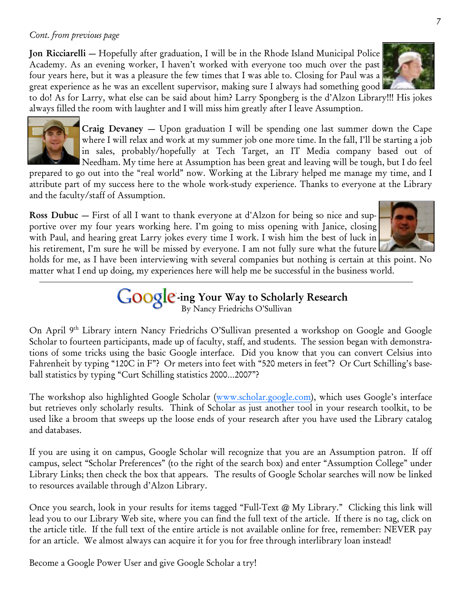#### *Cont. from previous page*

**Jon Ricciarelli** — Hopefully after graduation, I will be in the Rhode Island Municipal Police Academy. As an evening worker, I haven't worked with everyone too much over the past four years here, but it was a pleasure the few times that I was able to. Closing for Paul was a great experience as he was an excellent supervisor, making sure I always had something good

to do! As for Larry, what else can be said about him? Larry Spongberg is the d'Alzon Library!!! His jokes always filled the room with laughter and I will miss him greatly after I leave Assumption.

> **Craig Devaney** — Upon graduation I will be spending one last summer down the Cape where I will relax and work at my summer job one more time. In the fall, I'll be starting a job in sales, probably/hopefully at Tech Target, an IT Media company based out of Needham. My time here at Assumption has been great and leaving will be tough, but I do feel

prepared to go out into the "real world" now. Working at the Library helped me manage my time, and I attribute part of my success here to the whole work-study experience. Thanks to everyone at the Library and the faculty/staff of Assumption.

**Ross Dubuc** — First of all I want to thank everyone at d'Alzon for being so nice and supportive over my four years working here. I'm going to miss opening with Janice, closing with Paul, and hearing great Larry jokes every time I work. I wish him the best of luck in his retirement, I'm sure he will be missed by everyone. I am not fully sure what the future

holds for me, as I have been interviewing with several companies but nothing is certain at this point. No matter what I end up doing, my experiences here will help me be successful in the business world.

> **-ing Your Way to Scholarly Research** By Nancy Friedrichs O'Sullivan

On April 9<sup>th</sup> Library intern Nancy Friedrichs O'Sullivan presented a workshop on Google and Google Scholar to fourteen participants, made up of faculty, staff, and students. The session began with demonstrations of some tricks using the basic Google interface. Did you know that you can convert Celsius into Fahrenheit by typing "120C in F"? Or meters into feet with "520 meters in feet"? Or Curt Schilling's baseball statistics by typing "Curt Schilling statistics 2000…2007"?

The workshop also highlighted Google Scholar ([www.scholar.google.com](http://www.scholar.google.com)), which uses Google's interface but retrieves only scholarly results. Think of Scholar as just another tool in your research toolkit, to be used like a broom that sweeps up the loose ends of your research after you have used the Library catalog and databases.

If you are using it on campus, Google Scholar will recognize that you are an Assumption patron. If off campus, select "Scholar Preferences" (to the right of the search box) and enter "Assumption College" under Library Links; then check the box that appears. The results of Google Scholar searches will now be linked to resources available through d'Alzon Library.

Once you search, look in your results for items tagged "Full-Text @ My Library." Clicking this link will lead you to our Library Web site, where you can find the full text of the article. If there is no tag, click on the article title. If the full text of the entire article is not available online for free, remember: NEVER pay for an article. We almost always can acquire it for you for free through interlibrary loan instead!

Become a Google Power User and give Google Scholar a try!





7